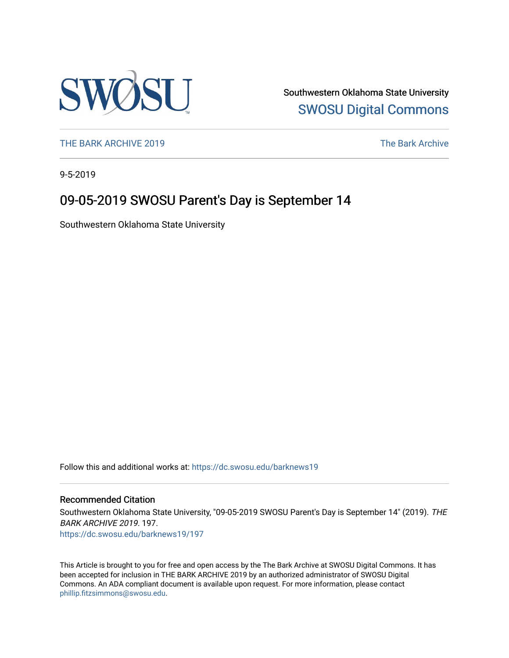

Southwestern Oklahoma State University [SWOSU Digital Commons](https://dc.swosu.edu/) 

[THE BARK ARCHIVE 2019](https://dc.swosu.edu/barknews19) The Bark Archive

9-5-2019

## 09-05-2019 SWOSU Parent's Day is September 14

Southwestern Oklahoma State University

Follow this and additional works at: [https://dc.swosu.edu/barknews19](https://dc.swosu.edu/barknews19?utm_source=dc.swosu.edu%2Fbarknews19%2F197&utm_medium=PDF&utm_campaign=PDFCoverPages)

#### Recommended Citation

Southwestern Oklahoma State University, "09-05-2019 SWOSU Parent's Day is September 14" (2019). THE BARK ARCHIVE 2019. 197. [https://dc.swosu.edu/barknews19/197](https://dc.swosu.edu/barknews19/197?utm_source=dc.swosu.edu%2Fbarknews19%2F197&utm_medium=PDF&utm_campaign=PDFCoverPages)

This Article is brought to you for free and open access by the The Bark Archive at SWOSU Digital Commons. It has been accepted for inclusion in THE BARK ARCHIVE 2019 by an authorized administrator of SWOSU Digital Commons. An ADA compliant document is available upon request. For more information, please contact [phillip.fitzsimmons@swosu.edu](mailto:phillip.fitzsimmons@swosu.edu).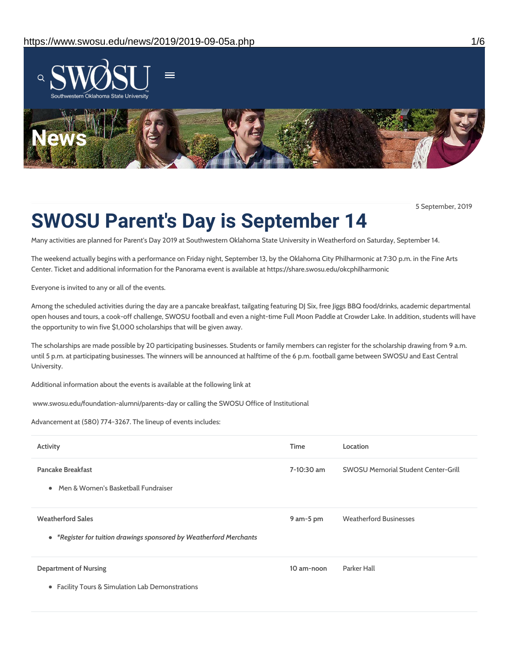

5 September, 2019

# **SWOSU Parent's Day is September 14**

Many activities are planned for Parent's Day 2019 at Southwestern Oklahoma State University in Weatherford on Saturday, September 14.

The weekend actually begins with a performance on Friday night, September 13, by the Oklahoma City Philharmonic at 7:30 p.m. in the Fine Arts Center. Ticket and additional information for the Panorama event is available at https://share.swosu.edu/okcphilharmonic

Everyone is invited to any or all of the events.

Among the scheduled activities during the day are a pancake breakfast, tailgating featuring DJ Six, free Jiggs BBQ food/drinks, academic departmental open houses and tours, a cook-off challenge, SWOSU football and even a night-time Full Moon Paddle at Crowder Lake. In addition, students will have the opportunity to win five \$1,000 scholarships that will be given away.

The scholarships are made possible by 20 participating businesses. Students or family members can register for the scholarship drawing from 9 a.m. until 5 p.m. at participating businesses. The winners will be announced at halftime of the 6 p.m. football game between SWOSU and East Central University.

Additional information about the events is available at the following link at

www.swosu.edu/foundation-alumni/parents-day or calling the SWOSU Office of Institutional

Advancement at (580) 774-3267. The lineup of events includes:

| Activity                                                                                        | <b>Time</b> | Location                                   |
|-------------------------------------------------------------------------------------------------|-------------|--------------------------------------------|
| <b>Pancake Breakfast</b><br>• Men & Women's Basketball Fundraiser                               | 7-10:30 am  | <b>SWOSU Memorial Student Center-Grill</b> |
| <b>Weatherford Sales</b><br>• *Register for tuition drawings sponsored by Weatherford Merchants | 9 am-5 pm   | <b>Weatherford Businesses</b>              |
| <b>Department of Nursing</b><br>• Facility Tours & Simulation Lab Demonstrations                | 10 am-noon  | Parker Hall                                |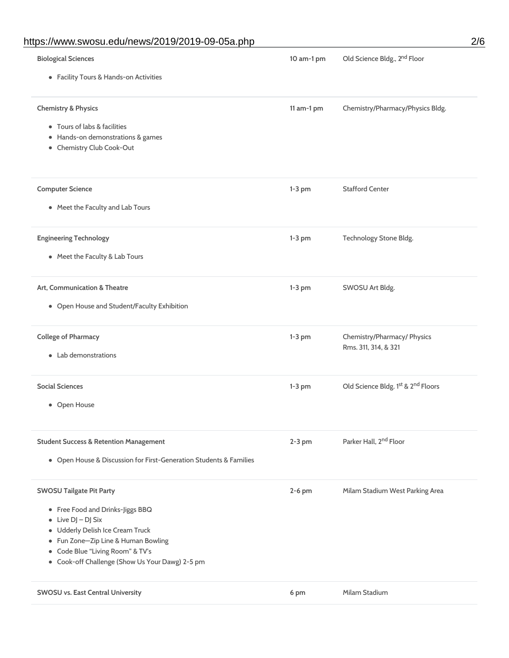## https://www.swosu.edu/news/2019/2019-09-05a.php 2/6

| <b>Biological Sciences</b>                                                                     | 10 am-1 pm | Old Science Bldg., 2 <sup>nd</sup> Floor            |
|------------------------------------------------------------------------------------------------|------------|-----------------------------------------------------|
| • Facility Tours & Hands-on Activities                                                         |            |                                                     |
| <b>Chemistry &amp; Physics</b>                                                                 | 11 am-1 pm | Chemistry/Pharmacy/Physics Bldg.                    |
| • Tours of labs & facilities<br>• Hands-on demonstrations & games<br>• Chemistry Club Cook-Out |            |                                                     |
|                                                                                                |            |                                                     |
| <b>Computer Science</b>                                                                        | $1-3$ pm   | <b>Stafford Center</b>                              |
| • Meet the Faculty and Lab Tours                                                               |            |                                                     |
| <b>Engineering Technology</b>                                                                  | $1-3$ pm   | Technology Stone Bldg.                              |
| • Meet the Faculty & Lab Tours                                                                 |            |                                                     |
| Art, Communication & Theatre                                                                   | $1-3$ pm   | SWOSU Art Bldg.                                     |
| • Open House and Student/Faculty Exhibition                                                    |            |                                                     |
| <b>College of Pharmacy</b>                                                                     | $1-3$ pm   | Chemistry/Pharmacy/ Physics<br>Rms. 311, 314, & 321 |
| • Lab demonstrations                                                                           |            |                                                     |
| <b>Social Sciences</b>                                                                         | $1-3$ pm   | Old Science Bldg. 1st & 2nd Floors                  |
| • Open House                                                                                   |            |                                                     |
| <b>Student Success &amp; Retention Management</b>                                              | $2-3$ pm   | Parker Hall, 2 <sup>nd</sup> Floor                  |
| • Open House & Discussion for First-Generation Students & Families                             |            |                                                     |
| <b>SWOSU Tailgate Pit Party</b>                                                                | $2-6$ pm   | Milam Stadium West Parking Area                     |
| • Free Food and Drinks-Jiggs BBQ                                                               |            |                                                     |
| $\bullet$ Live DJ - DJ Six                                                                     |            |                                                     |
| · Udderly Delish Ice Cream Truck<br>• Fun Zone-Zip Line & Human Bowling                        |            |                                                     |
| • Code Blue "Living Room" & TV's                                                               |            |                                                     |
| • Cook-off Challenge (Show Us Your Dawg) 2-5 pm                                                |            |                                                     |
| SWOSU vs. East Central University                                                              | 6 pm       | Milam Stadium                                       |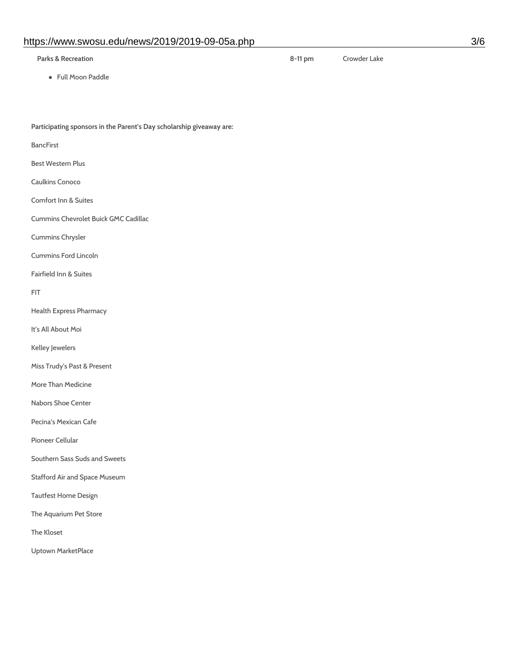#### https://www.swosu.edu/news/2019/2019-09-05a.php 3/6

**Parks & Recreation**

**8-11 pm** Crowder Lake

Full Moon Paddle

**Participating sponsors in the Parent's Day scholarship giveaway are:**

BancFirst

Best Western Plus

- Caulkins Conoco
- Comfort Inn & Suites

Cummins Chevrolet Buick GMC Cadillac

Cummins Chrysler

Cummins Ford Lincoln

Fairfield Inn & Suites

FIT

Health Express Pharmacy

It's All About Moi

Kelley Jewelers

Miss Trudy's Past & Present

More Than Medicine

Nabors Shoe Center

Pecina's Mexican Cafe

Pioneer Cellular

Southern Sass Suds and Sweets

Stafford Air and Space Museum

Tautfest Home Design

The Aquarium Pet Store

The Kloset

Uptown MarketPlace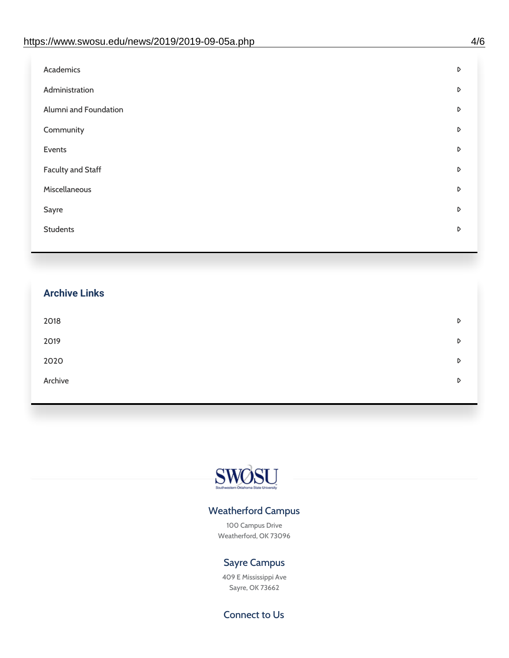| Academics<br>D<br>Administration<br>D<br>Alumni and Foundation<br>D<br>Community<br>D<br>Events<br>D<br><b>Faculty and Staff</b><br>D<br>Miscellaneous<br>D<br>Sayre<br>D<br><b>Students</b><br>D |  |
|---------------------------------------------------------------------------------------------------------------------------------------------------------------------------------------------------|--|
|                                                                                                                                                                                                   |  |
|                                                                                                                                                                                                   |  |
|                                                                                                                                                                                                   |  |
|                                                                                                                                                                                                   |  |
|                                                                                                                                                                                                   |  |
|                                                                                                                                                                                                   |  |
|                                                                                                                                                                                                   |  |
|                                                                                                                                                                                                   |  |
|                                                                                                                                                                                                   |  |

## **Archive Links**  $2018$  $2019$ [2020](https://www.swosu.edu/news/2020/index.php)  $\bullet$ [Archive](https://dc.swosu.edu/bark/) **Archive Archive Archive Archive Archive** Archive Archive Archive Archive Archive Archive Archive Archive



### Weatherford Campus

100 Campus Drive Weatherford, OK 73096

### Sayre Campus

409 E Mississippi Ave Sayre, OK 73662

Connect to Us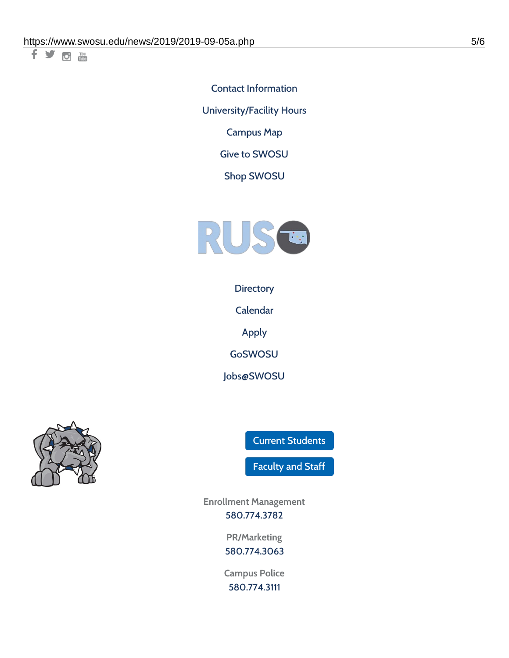千岁回调

Contact [Information](https://www.swosu.edu/about/contact.php) [University/Facility](https://www.swosu.edu/about/operating-hours.php) Hours [Campus](https://map.concept3d.com/?id=768#!ct/10964,10214,10213,10212,10205,10204,10203,10202,10136,10129,10128,0,31226,10130,10201,10641,0) Map

Give to [SWOSU](https://standingfirmly.com/donate)

Shop [SWOSU](https://shopswosu.merchorders.com/)



**[Directory](https://www.swosu.edu/directory/index.php)** 

[Calendar](https://eventpublisher.dudesolutions.com/swosu/)

[Apply](https://www.swosu.edu/admissions/apply-to-swosu.php)

[GoSWOSU](https://qlsso.quicklaunchsso.com/home/1267)

[Jobs@SWOSU](https://swosu.csod.com/ux/ats/careersite/1/home?c=swosu)



Current [Students](https://bulldog.swosu.edu/index.php)

[Faculty](https://bulldog.swosu.edu/faculty-staff/index.php) and Staff

**Enrollment Management** [580.774.3782](tel:5807743782)

> **PR/Marketing** [580.774.3063](tel:5807743063)

**Campus Police** [580.774.3111](tel:5807743111)